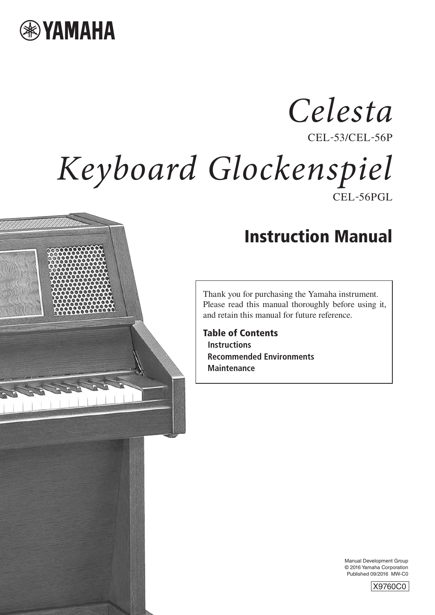

# CEL-53/CEL-56P CEL-56PGL *Keyboard Glockenspiel Celesta*



Thank you for purchasing the Yamaha instrument. Please read this manual thoroughly before using it, and retain this manual for future reference.

**Table of Contents Instructions Recommended Environments Maintenance**

> Manual Development Group © 2016 Yamaha Corporation Published 09/2016 MW-C0